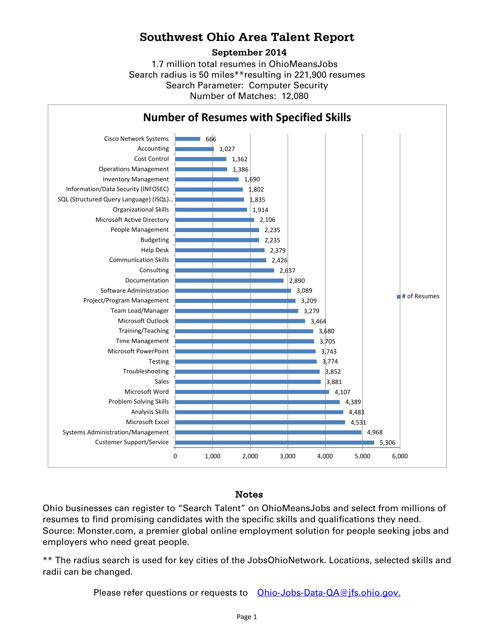## **Southwest Ohio Area Talent Report**

**September 2014**

Search radius is 50 miles\*\*resulting in 221,900 resumes Number of Matches: 12,080 Search Parameter: Computer Security 1.7 million total resumes in OhioMeansJobs



## Notes

Ohio businesses can register to "Search Talent" on OhioMeansJobs and select from millions of resumes to find promising candidates with the specific skills and qualifications they need. Source: Monster.com, a premier global online employment solution for people seeking jobs and employers who need great people.

\*\* The radius search is used for key cities of the JobsOhioNetwork. Locations, selected skills and radii can be changed.

Please refer questions or requests to [Ohio-Jobs-Data-QA@jfs.ohio.gov.](mailto:Ohio-Jobs-Data-QA@jfs.ohio.gov.)